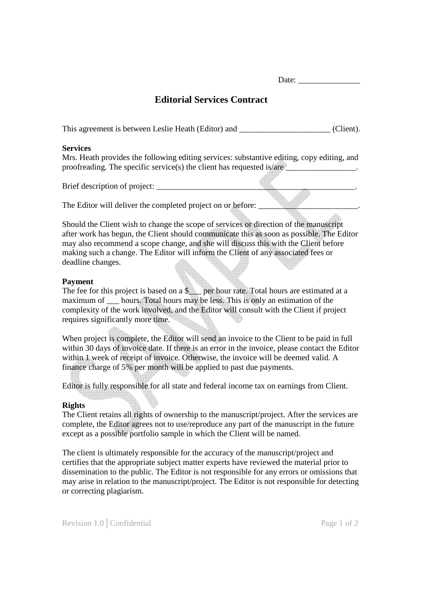# **Editorial Services Contract**

This agreement is between Leslie Heath (Editor) and  $(Client)$ .

#### **Services**

Mrs. Heath provides the following editing services: substantive editing, copy editing, and proofreading. The specific service(s) the client has requested is/are

Brief description of project:

The Editor will deliver the completed project on or before:

Should the Client wish to change the scope of services or direction of the manuscript after work has begun, the Client should communicate this as soon as possible. The Editor may also recommend a scope change, and she will discuss this with the Client before making such a change. The Editor will inform the Client of any associated fees or deadline changes.

### **Payment**

The fee for this project is based on a  $\frac{1}{2}$  per hour rate. Total hours are estimated at a maximum of hours. Total hours may be less. This is only an estimation of the complexity of the work involved, and the Editor will consult with the Client if project requires significantly more time.

When project is complete, the Editor will send an invoice to the Client to be paid in full within 30 days of invoice date. If there is an error in the invoice, please contact the Editor within 1 week of receipt of invoice. Otherwise, the invoice will be deemed valid. A finance charge of 5% per month will be applied to past due payments.

Editor is fully responsible for all state and federal income tax on earnings from Client.

### **Rights**

The Client retains all rights of ownership to the manuscript/project. After the services are complete, the Editor agrees not to use/reproduce any part of the manuscript in the future except as a possible portfolio sample in which the Client will be named.

The client is ultimately responsible for the accuracy of the manuscript/project and certifies that the appropriate subject matter experts have reviewed the material prior to dissemination to the public. The Editor is not responsible for any errors or omissions that may arise in relation to the manuscript/project. The Editor is not responsible for detecting or correcting plagiarism.